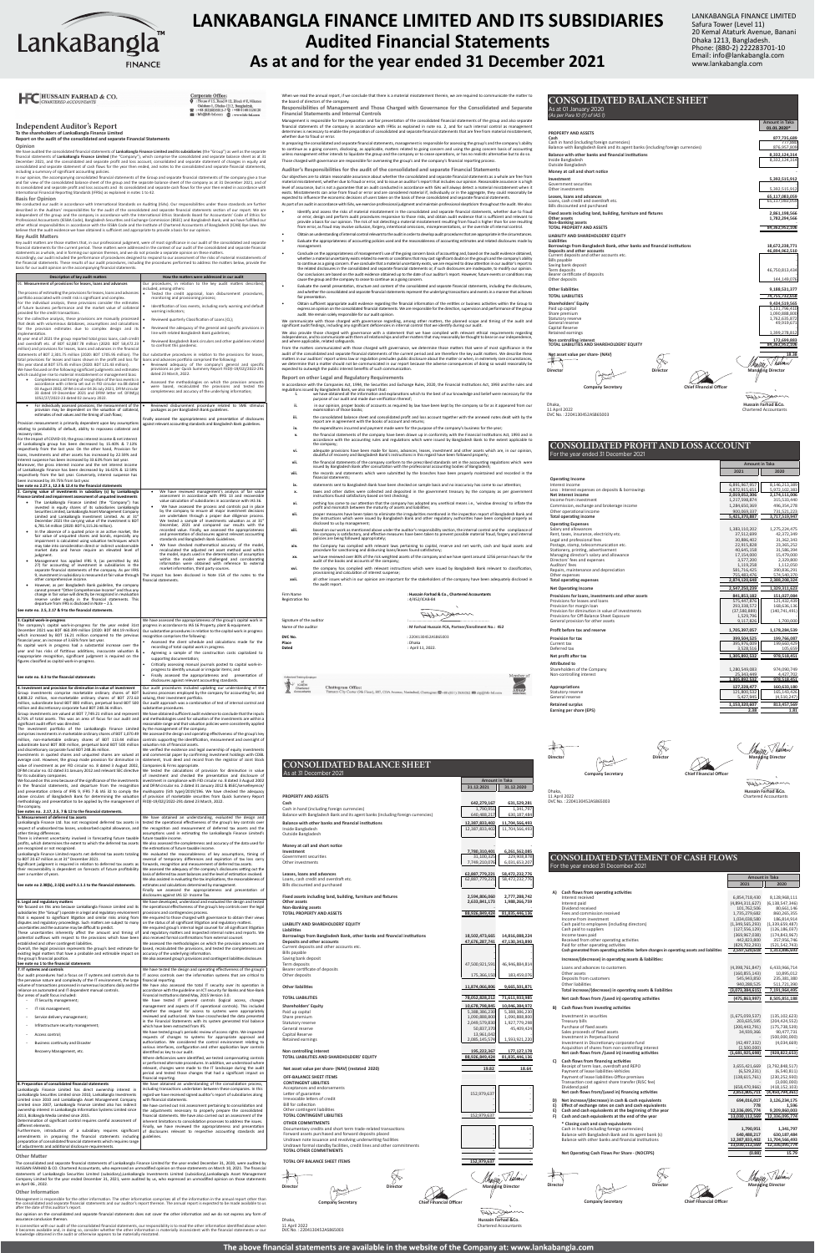### Independent Auditor's Report

**To the shareholders of LankaBangla Finance Limited Report on the audit of the consolidated and separate Financial Statements**

**Opinion**<br>
Opinion consolidated financial statements of **LankaBangla Finance Limited and its subsidiaries** (the "Group") as well as the separate<br>
We have audited the consolidated and separate profit and for company"), whic

**Corporate Office:**<br> $\overline{Q}$ : House #15, Road #12, Block #F, Niketon 

**Basis for Opinion**

We conducted our audit in accordance with International Standards on Auditing (ISAs). Our responsibilities under those standards are further described in the Auditors' responsibilitérs for the audit of the consolidated and separate financial statements section of our report. We are<br>independent of the group and the company in accordance with the International Et

#### **Key Audit Matters**

The condent of prior that an initiation.

Prelevel<br>record records.<br>In Multimedia<br>See 2.

| Description of key audit matters                                                                                                                                                                                                                                                                                                                                                                                                                                                                                                                                                                                                                                                                                                                                                                                                                                                                                                                                                                                                                                                                                                                                                                                                                                                                                                                                                                                                                                                   | How the matters were addressed in our audit                                                                                                                                                                                                                                                                                                                                                                                                                                                                                                                                                                                                                                                                                                                                                                                                                                                                                                                                                                                                                                          |
|------------------------------------------------------------------------------------------------------------------------------------------------------------------------------------------------------------------------------------------------------------------------------------------------------------------------------------------------------------------------------------------------------------------------------------------------------------------------------------------------------------------------------------------------------------------------------------------------------------------------------------------------------------------------------------------------------------------------------------------------------------------------------------------------------------------------------------------------------------------------------------------------------------------------------------------------------------------------------------------------------------------------------------------------------------------------------------------------------------------------------------------------------------------------------------------------------------------------------------------------------------------------------------------------------------------------------------------------------------------------------------------------------------------------------------------------------------------------------------|--------------------------------------------------------------------------------------------------------------------------------------------------------------------------------------------------------------------------------------------------------------------------------------------------------------------------------------------------------------------------------------------------------------------------------------------------------------------------------------------------------------------------------------------------------------------------------------------------------------------------------------------------------------------------------------------------------------------------------------------------------------------------------------------------------------------------------------------------------------------------------------------------------------------------------------------------------------------------------------------------------------------------------------------------------------------------------------|
| 01. Measurement of provisions for leases, loans and advances                                                                                                                                                                                                                                                                                                                                                                                                                                                                                                                                                                                                                                                                                                                                                                                                                                                                                                                                                                                                                                                                                                                                                                                                                                                                                                                                                                                                                       | Our procedures, in relation to the key audit matters described,                                                                                                                                                                                                                                                                                                                                                                                                                                                                                                                                                                                                                                                                                                                                                                                                                                                                                                                                                                                                                      |
| The process of estimating the provisions for leases, loans and advances<br>portfolio associated with credit risk is significant and complex.                                                                                                                                                                                                                                                                                                                                                                                                                                                                                                                                                                                                                                                                                                                                                                                                                                                                                                                                                                                                                                                                                                                                                                                                                                                                                                                                       | included, among others:<br>Tested the credit appraisal, loan disbursement procedures,<br>monitoring and provisioning process;                                                                                                                                                                                                                                                                                                                                                                                                                                                                                                                                                                                                                                                                                                                                                                                                                                                                                                                                                        |
| For the individual analysis, these provisions consider the estimates<br>of future business performance and the market value of collateral<br>provided for the credit transactions.                                                                                                                                                                                                                                                                                                                                                                                                                                                                                                                                                                                                                                                                                                                                                                                                                                                                                                                                                                                                                                                                                                                                                                                                                                                                                                 | Identification of loss events, including early warning and default<br>٠<br>warning indicators;                                                                                                                                                                                                                                                                                                                                                                                                                                                                                                                                                                                                                                                                                                                                                                                                                                                                                                                                                                                       |
| For the collective analysis, these provisions are manually processed<br>that deals with voluminous databases, assumptions and calculations                                                                                                                                                                                                                                                                                                                                                                                                                                                                                                                                                                                                                                                                                                                                                                                                                                                                                                                                                                                                                                                                                                                                                                                                                                                                                                                                         | Reviewed quarterly Classification of Loans (CL);                                                                                                                                                                                                                                                                                                                                                                                                                                                                                                                                                                                                                                                                                                                                                                                                                                                                                                                                                                                                                                     |
| for the provision estimates due to complex design and its<br>implementation.                                                                                                                                                                                                                                                                                                                                                                                                                                                                                                                                                                                                                                                                                                                                                                                                                                                                                                                                                                                                                                                                                                                                                                                                                                                                                                                                                                                                       | Reviewed the adequacy of the general and specific provisions in<br>line with related Bangladesh Bank guidelines;                                                                                                                                                                                                                                                                                                                                                                                                                                                                                                                                                                                                                                                                                                                                                                                                                                                                                                                                                                     |
| At year end of 2021 the group reported total gross loans, cash credit<br>and overdraft etc. of BDT 62,887.78 million (2020: BDT 58,472.23<br>million) and provisions for leases, loans and advances in the financial                                                                                                                                                                                                                                                                                                                                                                                                                                                                                                                                                                                                                                                                                                                                                                                                                                                                                                                                                                                                                                                                                                                                                                                                                                                               | Reviewed Bangladesh Bank circulars and other guidelines related<br>to confront this pandemic.                                                                                                                                                                                                                                                                                                                                                                                                                                                                                                                                                                                                                                                                                                                                                                                                                                                                                                                                                                                        |
| statements of BDT 2,301.75 million (2020: BDT 1705.95 million). The<br>total provisions for leases and loans shown in the profit and loss for<br>this year stand at BDT 575.45 million (2020: BDT 121.43 million).<br>We have focused on the following significant judgments and estimates<br>which could give rise to material misstatement or management bias:                                                                                                                                                                                                                                                                                                                                                                                                                                                                                                                                                                                                                                                                                                                                                                                                                                                                                                                                                                                                                                                                                                                   | Our substantive procedures in relation to the provisions for leases,<br>loans and advances portfolio comprised the following:<br>Reviewed adequacy of the company's general and specific<br>provisions as per Quick Summery Report FIID(I-19/02)/2022-291<br>dated 23 March, 2022.                                                                                                                                                                                                                                                                                                                                                                                                                                                                                                                                                                                                                                                                                                                                                                                                   |
| Completeness and timing of recognition of the loss events in<br>accordance with criteria set out in FID circular no.08 dated<br>03 August 2002, DFIM circular 04 26 July 2021, DFIM circular<br>33 dated 19 December 2021 and DFIM letter ref. DFIM(p)<br>1052/27/2022-23 dated 02 January 2022.                                                                                                                                                                                                                                                                                                                                                                                                                                                                                                                                                                                                                                                                                                                                                                                                                                                                                                                                                                                                                                                                                                                                                                                   | Assessed the methodologies on which the provision amounts<br>were based, recalculated the provisions and tested the<br>completeness and accuracy of the underlying information;                                                                                                                                                                                                                                                                                                                                                                                                                                                                                                                                                                                                                                                                                                                                                                                                                                                                                                      |
| $\bullet$<br>For individually assessed provisions, the measurement of the<br>provision may be dependent on the valuation of collateral,<br>estimates of exit values and the timing of cash flows;                                                                                                                                                                                                                                                                                                                                                                                                                                                                                                                                                                                                                                                                                                                                                                                                                                                                                                                                                                                                                                                                                                                                                                                                                                                                                  | Reviewed disbursement procedure related to SME stimulus<br>packages as per Bangladesh Bank guidelines.                                                                                                                                                                                                                                                                                                                                                                                                                                                                                                                                                                                                                                                                                                                                                                                                                                                                                                                                                                               |
| Provision measurement is primarily dependent upon key assumptions<br>relating to probability of default, ability to repossess collateral and<br>recovery rates.                                                                                                                                                                                                                                                                                                                                                                                                                                                                                                                                                                                                                                                                                                                                                                                                                                                                                                                                                                                                                                                                                                                                                                                                                                                                                                                    | Finally assessed the appropriateness and presentation of disclosures<br>against relevant accounting standards and Bangladesh Bank guidelines.                                                                                                                                                                                                                                                                                                                                                                                                                                                                                                                                                                                                                                                                                                                                                                                                                                                                                                                                        |
| For the impact of COVID-19, the gross interest income & net interest<br>of LankaBangla group has been decreased by 15.40% & 7.13%<br>respectively from the last year. On the other hand, Provision for<br>loans, Investments and other assets has increased by 22.59% and<br>Interest suspense has been increased by 33.63% from last year.<br>Moreover, the gross interest income and the net interest income<br>of LankaBangla Finance has been decreased by 16.42% & 12.59%<br>respectively from the last year. Conversely, interest suspense has<br>been increased by 39.75% from last year.<br>See note no 2.27.1, 12.3 & 12.4 to the financial statements                                                                                                                                                                                                                                                                                                                                                                                                                                                                                                                                                                                                                                                                                                                                                                                                                    |                                                                                                                                                                                                                                                                                                                                                                                                                                                                                                                                                                                                                                                                                                                                                                                                                                                                                                                                                                                                                                                                                      |
| 2. Carrying value of investments in subsidiary (s) by LankaBangla<br>Finance Limited and impairment assessment of unquoted investments<br>The LankaBangla Finance Limited (the "Company") has<br>invested in equity shares of its subsidiaries LankaBangla<br>Securities Limited, LankaBangla Asset Management Company<br>Limited and LankaBangla Investment Limited. As at 31 <sup>st</sup><br>December 2021 the carrying value of the investment is BDT<br>6,781.54 million (2020: BDT 6,115.26 million).<br>In the absence of a quoted price in an active market, the<br>fair value of unquoted shares and bonds, especially any<br>impairment is calculated using valuation techniques which<br>may take into consideration direct or indirect unobservable<br>market data and hence require an elevated level of<br>judgment.<br>Management has applied IFRS 9, (as permitted by IAS<br>27) for accounting of investment in subsidiaries in the<br>separate financial statements of the company. As per IFRS<br>9, investment in subsidiary is measured at fair value through<br>other comprehensive income.<br>However, as per Bangladesh Bank guideline, the company<br>cannot present "Other Comprehensive Income" and thus any<br>change in fair value will directly be recognized in revaluation<br>reserve under equity in the financial statements. This<br>departure from IFRS is disclosed in Note - 2.5.<br>See note no. 2.5, 2.17 & 9 to the financial statements. | We have reviewed management's analysis of fair value<br>assessment in accordance with IFRS 13 and recoverable<br>value calculation of subsidiaries in accordance with IAS 36.<br>We have assessed the process and controls put in place<br>by the company to ensure all major investment decisions<br>are undertaken through a proper due diligence process.<br>We tested a sample of investments valuation as at 31st<br>December, 2021 and compared our results with the<br>recorded value. Finally, we assessed the appropriateness<br>and presentation of disclosures against relevant accounting<br>standards and Bangladesh Bank Guidelines.<br>We have checked mathematical accuracy of the model,<br>recalculated the adjusted net asset method used within<br>the model, inputs used in the determination of assumption<br>within the model were challenged and corroborating<br>information were obtained with reference to external<br>market information, third party sources.<br>The impact has been disclosed in Note 15A of the notes to the<br>financial statements. |
| 3. Capital work-in-progress<br>The company's capital work-in-progress for the year ended 31st<br>December 2021 was BDT 460.399 million (2020: BDT 444.19 million)<br>which increased by BDT 16.21 million compared to the previous<br>financial year, an increase of 3.65% from last year.<br>As capital work in progress had a substantial increase over the<br>year and has risks of fictitious additions, inaccurate valuation &<br>inappropriate recognition, significant judgment is required on the<br>figures classified as capital work-in-progress.<br>See note no. 8.3 to the financial statements                                                                                                                                                                                                                                                                                                                                                                                                                                                                                                                                                                                                                                                                                                                                                                                                                                                                       | We have assessed the appropriateness of the group's capital work in<br>progress in accordance to IAS 16 Property, plant & equipment.<br>Our substantive procedures in relation to the capital work in progress<br>recognition comprises the following:<br>Assessed the client schedule and calculations made for the<br>recording of total capital work in progress.<br>Agreeing a sample of the construction costs capitalized to<br>supporting documentation;<br>Critically assessing manual journals posted to capital work-in-<br>progress to identify unusual or irregular items; and<br>Finally assessed the appropriateness and<br>presentation of<br>disclosures against relevant accounting standards.                                                                                                                                                                                                                                                                                                                                                                      |
| 4. Investment and provision for diminution in value of investment<br>Group investments comprise marketable ordinary shares of BDT                                                                                                                                                                                                                                                                                                                                                                                                                                                                                                                                                                                                                                                                                                                                                                                                                                                                                                                                                                                                                                                                                                                                                                                                                                                                                                                                                  | Our audit procedures included updating our understanding of the<br>business processes employed by the company for accounting for, and                                                                                                                                                                                                                                                                                                                                                                                                                                                                                                                                                                                                                                                                                                                                                                                                                                                                                                                                                |
| 4,808.22 million, non-marketable ordinary shares of BDT 272.63<br>million, subordinate bond BDT 800 million, perpetual bond BDT 500<br>million and discretionary corporate fund BDT 248.36 million.<br>Group investments are valued at BDT 7,749.21 million and represent<br>8.75% of total assets. This was an area of focus for our audit and<br>significant audit effort was directed.<br>The investment portfolio of the LankaBangla Finance Limited<br>comprises investments in marketable ordinary shares of BDT 1,070.49<br>million, non-marketable ordinary shares of BDT 113.44 million<br>subordinate bond BDT 800 million, perpetual bond BDT 500 million<br>and discretionary corporate fund BDT 248.36 million.<br>Investments in quoted shares and unquoted shares are valued at<br>average cost. However, the group made provision for diminution in                                                                                                                                                                                                                                                                                                                                                                                                                                                                                                                                                                                                                | valuing, their investment portfolio.<br>Our audit approach was a combination of test of internal control and<br>substantive procedures.<br>We have obtained sufficient audit evidence to conclude that the inputs<br>and methodologies used for valuation of the investments are within a<br>reasonable range and that valuation policies were consistently applied<br>by the management of the company.<br>We assessed the design and operating effectiveness of the group's key<br>controls supporting the identification, measurement and oversight of<br>valuation risk of financial assets.<br>We verified the existence and legal ownership of equity investments<br>and commercial paper by confirming investment holdings with CDBL<br>statement, trust deed and record from the registrar of Joint Stock                                                                                                                                                                                                                                                                    |
| value of investment as per FID circular no. 8 dated 3 August 2002,<br>DFIM circular no. 02 dated 31 January 2012 and relevant SEC directive<br>for its subsidiary companies.<br>We focused on this area because of the significance of the investments                                                                                                                                                                                                                                                                                                                                                                                                                                                                                                                                                                                                                                                                                                                                                                                                                                                                                                                                                                                                                                                                                                                                                                                                                             | Companies & Firms appropriate.<br>We tested the calculations of provision for diminution in value<br>of investment and checked the presentation and disclosure of<br>investment in compliance with FID circular no. 8 dated 3 August 2002                                                                                                                                                                                                                                                                                                                                                                                                                                                                                                                                                                                                                                                                                                                                                                                                                                            |

The consolidated and separate financial statements of LankaBangla Finance Limited for the year ended December 31, 2020, were audited by<br>HUSSAIN FARHAD & CO. Chartered Accountants, who expressed an unmodified opinion on tho on April 06 , 2022.

financial statements of the company in accordance with IFRSs as explained in note no. 2, and for such internal control as management<br>determines is necessary to enable the preparation of consolidated and separate financial whether due to fraud or error.

In preparing the consolidated and separate financial statements, management is responsible for assessing the gompary sability<br>to continue as a going concern, disclosing, as applicable, matters related to going concern and Those charged with governance are responsible for overseeing the group's and the company's financial reporting process.

Key audit matters are those matters that, in our professional judgment, were of most significance in our audit of the consolidated and separate financial statements for the current period. These matters were addressed in t

Our objectives are to obtain reasonable assurance about whether the consolidated and separate financial statements as a whole are free from<br>material misstatement, whether due to fraud or error, and to issue an auditor's re As part of an audit in accordance with ISAs, we exercise professional judgment and maintain professional skepticism throughout the audit. We also:

- Identify and assess the risks of material misstatement in the consolidated and separate financial statements, whether due to fraud<br>or error, design and perform audit procedures responsive to those risks, and obtain audit e • Obtain an understanding of internal control relevant to the audit in order to develop audit procedures that are appropriate in the circumstances.
- Evaluate the appropriateness of accounting policies used and the reasonableness of accounting estimates and related disclosures made by management.
- Conclude on the appropriateness of management's use of the going concern basis of accounting and, based on the audit evidence obtained, whether a material uncertainty seists related to events or conditions that may cast
- Fivaluate the overall presentation, structure and content of the consolidated and separate financial statements, including the disclosures, and whether the consolidated and separate financial statements represent the termi fair presentation.
- Obtain sufficient appropriate audit evidence regarding the financial information of the entities or business activities within the Group to express an opinion on the consolidated financial statements. We are responsible for the direction, supervision and performance of the group audit. We remain solely responsible for our audit opinion.

We communicate with those charged with governance regarding, among other matters, the planned scope and timing of the audit and<br>significant audit findings, including any significant deficiencies in internal control that we

We also provide those charged with governance with a statement that we have complied with relevant ethical requirements regarding<br>independence, and to communicate with them all relationships and other matters that may reas

Firm Name **:** *Hussain Farhad & Co., Chartered Accc***ountants <b>Co.**<br>1.4/452/ICAB-84 (Registration No  $Sipantine of the author$ Name of the auditor : **M Farhad Hussain FCA, Partner/Enrollment No.: 452**

**Place**<br>Place<br>Dated

**PROPERTY AND ASSETS Cash 642,279,167 631,529,281**  (including foreign currencies)<br>
Bangladesh Bank and its agent banks (including foreign currencies)<br>  $\begin{array}{|l|c|c|c|c|}\n\hline\n1,790,951 & 1,341,797 \\
\hline\n640,488,217 & 630,187,484\n\end{array}$ Bangladesh Bank and its agent banks (including foreign currencies) **h other banks and financial institutions <br>adesh 12,387,833,402 11,704,566,493<br>12,387,833,402 11,704,566,493 12,387,833,402 12,387,833,402 12,387,833,402 12,387,833,402 12,387,833,402**<br>| adesh 12,387,833,402<br>| gladesh 12,387,833,402 Outside Bangladesh - - **Money at call and short notice** - - **Investment 7,780,310,401 6,261,562,085**  Government securities 31,100,325 229,908,878 Other investments 7,749,210,076 6,031,653,207 **Lease 18, 19, 201 58,472,232,776 18,472,232,776 18,472,232,776 18,472,232,776 18,472,232,776 18,472,232,776 18,472,232,776 18,6472,232,776 18,6472,232,776 18,6472,232,776 18,6472,232,776 18,6472,232,776 18,6472,232,776 18** redit and overdraft etc. ted and purchased **Fixed assets including land, building, furniture and fixtures 2,594,806,060 2,777,288,742 Other assets 2,633,841,173 1,988,266,759 Non-Banking assets** - - **TOPAL PROPERTY AND ASSETS** 88,926,849,424 81,835,446,136 **LIABILITY AND SHAREHOLDERS' EQUITY Borrowings from Bangladesh Bank, other banks and financial institutions 18,502,473,665 14,816,088,224 Deposits and other accounts 47,676,287,741 47,130,343,890**  osits and other accounts etc. Bills payable - - Saving bank deposit the same state of the same state of the same state of the same state  $\sim$  -  $\sim$ 47,500,921,591 46,946,884,814 Bearer certificate of deposits - - Other deposits 175,366,150 2012 183,459,076 2012 183,459,076 **Other liabilities 11,874,066,806 9,665,501,871 TOTAL LITIES TOTAL LITIES 78,052,828,212 71,611,933,985 Shareholders' Equity 10,678,798,845 10,046,384,972**  Paid up capital 5,388,386,230  $\vert$  5,388,386,230 5,388,386,230 5,388,386,230 5,388,386,230 5,388,386,230 5,388 Share premium 1,090,888,800  $\vert$  1,090,888,800 1,090,888,800 1,090,888,800 1,090,888,800 1,090,888,800 1,090,888,800 1,090,888,800 1,090,888,800 1,090,888,800 1,090,888,800 1,090,888,800 1,090,888,800 1,090,888,800 1,090,8 2,049,579,830 1,927,779,298<br>50,837,370 45,409,42 General reserve 60,000 45,409,424 45,409,424 45,409,424 45,409,424 50,837,370 45,409,424 45,409,424 50,637,370 1 Capital Reserve 13,961,042 -  $\begin{array}{|c|c|c|c|c|c|c|c|}\n\hline\n\text{rings} & 2,085,145,574 & 1,593,921,220 \\
\hline\n\end{array}$ **Non controlling interest 195,222,367 177,127,178 TOTAL LIABILITIES AND SHAREHOLDERS' EQUITY 88,926,849,424 81,835,446,136 Net asset value per share- (NAV) (restated 2020) 19.82** 19.84 **19.82** 18.64 **OF SHEET ITEMS CONTINGENT LIBILITIES** Acceptances and endorsements - - Letter of guarantee 152,979,637 - Irrevocable letters of credit - - Bill for collection and the set of the set of the set of the set of the set of the set of the set of the set of the set of the set of the set of the set of the set of the set of the set of the set of the set of the set of other continues and the continues of the continues of the continues of the continues of the continues of the continues of the continues of the continues of the continues of the continues of the continues of the continues o **TINGENT LIBILITIES OMITMENTS** ry credits and short term trade-related transactions Forward assets purchased and forward deposits placed - - Undrawn note issuance and revolving underwriting facilities - - Undrawn formal standby facilities, credit lines and other commitments - - **TOTAL OTHER COMMITMENTS TOTAL OFF BALANCE SHEET ITEMS 152,979,637 Director** Managing Director Managing Director Q.  $\overline{\phantom{a}}$ 

#### **Other Matter**

**Other Information** 

Management is responsible for the other information. The other information comprises all of the information in the annual report other than<br>the consolidated and separate financial statements and our auditor's report thereo

Our opinion on the consolidated and separate financial statements does not cover the other information and we do not express any form of assurance conclusion thereon.

nection with our audit of the consolidated financial statements, our responsibility is to read the other information identified above when it becomes available and, in doing so, consider whether the other information is materially inconsistent with the financial statements or our<br>knowledge obtained in the audit or otherwise appears to be materially misstated.

When we read the annual report, if we conclude that there is a material misstatement therein, we are required to communicate the matter to the board of directors of the company. **Responsibilities of Management and Those Charged with Governance for the Consolidated and Separate** 

**Financial Statements and Internal Controls**  Management is responsible for the preparation and fair presentation of the consolidated financial statements of the group and also separate

| in the financial statements, and departure from the recognition                                                                           | and DFIM circular no. 2 dated 31 January 2012 & BSEC/servelleyence/                                                                        |                                   |
|-------------------------------------------------------------------------------------------------------------------------------------------|--------------------------------------------------------------------------------------------------------------------------------------------|-----------------------------------|
| and presentation criteria of IFRS 9, IFRS 7 & IAS 32 to comply the<br>above circulars of Bangladesh Bank for determining the valuation    | mukhopatro (5th type)/2019/196. We have checked the adequacy<br>of provision of marketable securities from Quick Summery Report            | <b>PROPERTY A</b>                 |
| methodology and presentation to be applied by the management of                                                                           | FIID(I-19/02)/2022-291 dated 23 March, 2022.                                                                                               | Cash                              |
| the company.                                                                                                                              |                                                                                                                                            | Cash in hand                      |
| See notes no. 2.17, 2.5, 7 & 12 to the financial statements.                                                                              |                                                                                                                                            | <b>Balance with</b>               |
| 5. Measurement of deferred tax assets                                                                                                     | We have obtained an understanding, evaluated the design and                                                                                |                                   |
| LankaBangla Finance Ltd. has not recognized deferred tax assets in<br>respect of unabsorbed tax losses, unabsorbed capital allowance, and | tested the operational effectiveness of the group's key controls over<br>the recognition and measurement of deferred tax assets and the    | <b>Balance wit</b>                |
| other timing differences.                                                                                                                 | assumptions used in estimating the LankaBangla Finance Limited's                                                                           | Inside Bangl<br>Outside Ban       |
| There is inherent uncertainty involved in forecasting future taxable                                                                      | future taxable income.                                                                                                                     |                                   |
| profits, which determines the extent to which the deferred tax assets                                                                     | We also assessed the completeness and accuracy of the data used for                                                                        | Money at ca                       |
| are recognized or not recognized.                                                                                                         | the estimations of future taxable income.                                                                                                  | Investment                        |
| LankaBangla Finance Limited reports net deferred tax assets totaling                                                                      | We evaluated the reasonableness of key assumptions, timing of<br>reversal of temporary differences and expiration of tax loss carry        | Government                        |
| to BDT 20.67 million as at 31 <sup>x</sup> December 2021.<br>Significant judgment is required in relation to deferred tax assets as       | forwards, recognition and measurement of deferred tax assets.                                                                              | Other invest                      |
| their recoverability is dependent on forecasts of future profitability                                                                    | We assessed the adequacy of the company's disclosures setting out the                                                                      |                                   |
| over a number of years.                                                                                                                   | basis of deferred tax asset balances and the level of estimation involved.                                                                 | Leases, loan                      |
|                                                                                                                                           | We also assisted in evaluating the tax implications, the reasonableness of                                                                 | Loans, cash                       |
| See note no 2.38(b), 2.5(6) and 9.1.1.1 to the financial statements.                                                                      | estimates and calculations determined by management.<br>Finally we assessed the appropriateness and presentation of                        | <b>Bills discoun</b>              |
|                                                                                                                                           | disclosures against IAS 12- Income Tax.                                                                                                    | <b>Fixed assets</b>               |
| 6. Legal and regulatory matters                                                                                                           | We have developed, understood and evaluated the design and tested                                                                          | Other asset:                      |
| We focused on this area because LankaBangla Finance Limited and its                                                                       | the operational effectiveness of the group's key controls over the legal                                                                   | Non-Bankin                        |
| subsidiaries (the "Group") operate in a legal and regulatory environment                                                                  | provisions and contingencies process.                                                                                                      | <b>TOTAL PROF</b>                 |
| that is exposed to significant litigation and similar risks arising from                                                                  | We enquired to those charged with governance to obtain their views                                                                         |                                   |
| disputes and regulatory proceedings. Such matters are subject to many                                                                     | on the status of all significant litigation and regulatory matters.                                                                        | <b>LIABILITY AI</b>               |
| uncertainties and the outcome may be difficult to predict.<br>These uncertainties inherently affect the amount and timing of              | We enquired group's internal legal counsel for all significant litigation                                                                  | Liabilities                       |
| potential outflows with respect to the provisions which have been                                                                         | and regulatory matters and inspected internal notes and reports. We<br>also received formal confirmations from external counsel.           | <b>Borrowings</b>                 |
| established and other contingent liabilities.                                                                                             | We assessed the methodologies on which the provision amounts are                                                                           | Deposits an                       |
| Overall, the legal provision represents the group's best estimate for                                                                     | based, recalculated the provisions, and tested the completeness and                                                                        | Current dep                       |
| existing legal matters that have a probable and estimable impact on                                                                       | accuracy of the underlying information.                                                                                                    | <b>Bills payable</b>              |
| the group's financial position.<br>See note no 1 to the financial statements                                                              | We also assessed group's provisions and contingent liabilities disclosure.                                                                 | Saving bank<br>Term deposi        |
| 7. IT systems and controls                                                                                                                | We have tested the design and operating effectiveness of the group's                                                                       | Bearer certi                      |
| Our audit procedures had a focus on IT systems and controls due to                                                                        | IT access controls over the information systems that are critical to                                                                       | Other depos                       |
| the pervasive nature and complexity of the IT environment, the large                                                                      | financial reporting.                                                                                                                       |                                   |
| volume of transactions processed in numerous locations daily and the                                                                      | We have also assessed the total IT security over its operation in                                                                          | <b>Other liabili</b>              |
| reliance on automated and IT dependent manual controls.                                                                                   | accordance with the guideline on ICT security for Banks and Non-Bank                                                                       |                                   |
| Our areas of audit focus included:<br>IT Security management;                                                                             | Financial Institutions dated May, 2015 Version 3.0.<br>We have tested IT general controls (logical access, changes                         | <b>TOTAL LIABI</b>                |
|                                                                                                                                           | management and aspects of IT operational controls). This included                                                                          | Shareholder                       |
| IT risk management;<br>×,                                                                                                                 | whether the request for access to systems were appropriately                                                                               | Paid up capi                      |
| Service delivery management;<br>ä,                                                                                                        | reviewed and authorized. We have crosschecked the data presented                                                                           | Share premi                       |
| ä,                                                                                                                                        | in the Financial Statements with its system generated trial balance                                                                        | Statutory re                      |
| Infrastructure security management;                                                                                                       | which have been extracted from IFS.                                                                                                        | General rese                      |
| ä,<br>Access control;                                                                                                                     | We have tested group's periodic review of access rights. We inspected<br>requests of changes to systems for appropriate approval and       | Capital Rese                      |
| <b>Business continuity and Disaster</b>                                                                                                   | authorization. We considered the control environment relating to                                                                           | Retained ea                       |
|                                                                                                                                           | various interfaces, configuration and other application layer controls                                                                     |                                   |
| Recovery Management, etc.                                                                                                                 | identified as key to our audit.                                                                                                            | Non control<br><b>TOTAL LIABI</b> |
|                                                                                                                                           | Where deficiencies were identified, we tested compensating controls<br>or performed alternate procedures. In addition, we understood where |                                   |
|                                                                                                                                           | relevant, changes were made to the IT landscape during the audit                                                                           | Net asset va                      |
|                                                                                                                                           | period and tested those changes that had a significant impact on                                                                           |                                   |
|                                                                                                                                           | financial reporting.                                                                                                                       | <b>OFF-BALAN</b>                  |
| 8. Preparation of consolidated financial statements                                                                                       | We have obtained an understanding of the consolidation process,                                                                            | <b>CONTINGER</b>                  |
| LankaBangla Finance Limited has direct ownership interest in                                                                              | including transactions undertaken between these companies. In this                                                                         | Acceptance<br>Letter of gu        |
| LankaBangla Securities Limited since 2010, LankaBangla Investments<br>Limited since 2010 and LankaBangla Asset Management Company         | regard we have received signed auditor's report of subsidiaries along<br>with financial statements.                                        | Irrevocable                       |
| Limited since 2007, LankaBangla Finance Limited also has indirect                                                                         | We have carried out risk assessment pertaining to consolidation and                                                                        | <b>Bill for colle</b>             |
| ownership interest in LankaBangla Information Systems Limited since                                                                       | the adjustments necessary to properly prepare the consolidated                                                                             | Other conti                       |
| 2013, BizBangla Media Limited since 2015.                                                                                                 | financial statements. We have also carried out an assessment of the                                                                        | <b>TOTAL CON</b>                  |
| Determination of significant control requires careful assessment of<br>different elements.                                                | inherent limitations to consolidation processes to address the issues.                                                                     | <b>OTHER CON</b>                  |
| Furthermore, introduction of a subsidiary requires significant                                                                            | Finally, we have reviewed the appropriateness and presentation                                                                             | Documenta                         |
| amendments in preparing the financial statements including                                                                                | of disclosures relevant to respective accounting standards and<br>guidelines.                                                              | Forward ass                       |
| preparation of consolidated financial statements which requires range                                                                     |                                                                                                                                            | Undrawn no                        |
| of adjustments and additional disclosure requirements.                                                                                    |                                                                                                                                            | Undrawn fo                        |

**Auditor's Responsibilities for the audit of the consolidated and separate Financial Statements** 

From the matters communicated with those charged with governance, we determine those matters that were of most significance in the audit of the consolidated and separate financial statements of the current period and are therefore the key audit matters. We describe these matters in our auditors' report unless law or regulation precludes public disclosure about the matter or when, in extremely rare circumstances,

we determine that a matter should not be communicated in our report because the adverse consequences of doing so would reasonably be expected to outweigh the public interest benefits of such communication. **Report on other Legal and Regulatory Requirements** 

In accordance with the Companies Act, 1994, the Securities and Exchange Rules, 2020, the Financial Institutions Act, 1993 and the rules and

- regulations issued by Bangladesh Bank, we also report that: **i.** we have obtained all the information and explanations which to the best of our knowledge and belief were necessary for the purpose of our audit and made due verification thereof;
	- **ii.** in our opinion, proper books of accounts as required by law have been kept by the company so far as it appeared from our examination of those books;
	- iii. **the consolidated balance sheet and consolidated profit and loss account together with the annexed notes dealt with by the report are in agreement with the books of account and returns;**
	- **iv.** the expenditures incurred and payment made were for the purpose of the company's business for the year;
	- v. the financial statements of the company have been drawn up in conformity with the Financial Institutions Act, 1993 and in<br>accordance with the accounting rules and regulations which were issued by Bangladesh Bank to the the company;
	- vi. adequate provisions have been made for loans, advances, leases, investment and other assets which are, in our opinion,<br>doubtful of recovery and Bangladesh Bank's instructions in this regard have been followed properly;
	- vii. the financial statements of the company conform to the prescribed standards set in the accounting regulations which were<br>issued by Bangladesh Bank after consultation with the professional accounting bodies of Banglade **viii.** the records and statements which were submitted by the branches have been properly maintained and recorded in the
	- financial statements; **ix.** statements sent to Bangladesh Bank have been checked on sample basis and no inaccuracy has come to our attention;
	- **x.** taxes and other duties were collected and deposited in the government treasury by the company as per government instructions found satisfactory based on test checking;
	- **xi.** nothing has come to our attention that the company has adopted any unethical means i.e., 'window dressing' to inflate the profit and mismatch between the maturity of assets and liabilities;
	- xii. proper measures have been taken to eliminate the irregularities mentioned in the inspection report of Bangladesh Bank and<br>the instructions which were issued by Bangladesh Bank and other regulatory authorities have bee disclosed to us by management;
	- xiii. based on our work as mentioned above under the auditor's responsibility section, the internal control and the compliance of<br>the company is satisfactory, and effective measures have been taken to prevent possible mate
	- **xiv.** the Company has complied with relevant laws pertaining to capital, reserve and net worth, cash and liquid assets and procedure for sanctioning and disbursing loans/leases found satisfactory;
	- **xv.** we have reviewed over 80% of the risk weighted assets of the company and we have spent around 1256 person hours for the audit of the books and accounts of the company;
	- **xvi.** the company has complied with relevant instructions which were issued by Bangladesh Bank relevant to classification, provisioning and calculation of interest suspense;
	- **xvii.** all other issues which in our opinion are important for the stakeholders of the company have been adequately disclosed in the audit report.

Registration No : 4/452/ICAB-84



**DVC No.** : 2204130452AS865003 **Dated** : April 11, 2022.

Other expenses **Total operating expenses** 

### CONSOLIDATED BALANCE SHEET

As at 31 December 2021

**Amount in Taka**

**31.12.2021 31.12.2020**

Dhaka, **Hussain Farhad &Co.**<br>11 April 2022<br>DVC No. : 2204130452AS865003



DVC No. : 2204130452AS865003

**Chief Financial Office** 

Album

CONSOLIDATED BALANCE SHEET

As at 01 January 2020 *(As per Para 10 (f) of IAS 1)*





|                 |                                                                                                             |                                | <b>Amount in Taka</b>          |                                |
|-----------------|-------------------------------------------------------------------------------------------------------------|--------------------------------|--------------------------------|--------------------------------|
|                 |                                                                                                             |                                | 2021                           | 2020                           |
|                 | A) Cash flows from operating activities                                                                     |                                |                                |                                |
|                 | Interest received                                                                                           |                                | 6,854,718,430                  | 8,128,968,111                  |
|                 | Interest paid                                                                                               |                                | (4,894,311,627)                | (6, 138, 547, 346)             |
|                 | Dividend received                                                                                           |                                | 101,762,506                    | 80,661,146                     |
|                 | Fees and commission received                                                                                |                                | 1,735,279,682                  | 860,265,355                    |
|                 | Income from investment                                                                                      |                                | 1,034,038,580                  | 186,814,914                    |
|                 | Cash paid to employees (including directors)                                                                |                                | (1,349,565,293)                | (1,339,659,487)                |
|                 | Cash paid to suppliers                                                                                      |                                | (127, 556, 129)                | (126, 186, 037)                |
|                 | Income taxes paid                                                                                           |                                | (369, 967, 038)                | (174, 843, 967)                |
|                 | Received from other operating activities<br>Paid for other operating activities                             |                                | 442,823,800<br>(829, 702, 293) | 357,956,746<br>(521, 542, 743) |
|                 | Cash generated from operating activities before changes in operating assets and liabilities                 |                                | 2,597,520,618                  | 1,313,886,693                  |
|                 |                                                                                                             |                                |                                |                                |
|                 | Increase/(decrease) in operating assets & liabilities:                                                      |                                |                                |                                |
|                 | Loans and advances to customers                                                                             |                                | (4,398,761,847)                | 6,433,966,714                  |
|                 | Other assets                                                                                                |                                | (160, 855, 143)                | 10,895,012                     |
|                 | Deposits from customers                                                                                     |                                | 545,943,850                    | 235,381,380                    |
|                 | Other liabilities                                                                                           |                                | 940,288,525                    | 511,721,390                    |
|                 | Total increase/(decrease) in operating assets & liabilities                                                 |                                | (3,073,384,615)                | 7,191,964,495                  |
|                 | Net cash flows from /(used in) operating activities                                                         |                                | (475, 863, 997)                | 8,505,851,188                  |
|                 | B) Cash flows from investing activities                                                                     |                                |                                |                                |
|                 | Investment in securities                                                                                    |                                | (1,675,059,537)                | (135, 102, 623)                |
|                 | Treasury bills                                                                                              |                                | 203,635,595                    | (204, 424, 552)                |
|                 | Purchase of fixed assets                                                                                    |                                | (200, 443, 791)                | (175, 738, 539)                |
|                 | Sales proceeds of fixed assets                                                                              |                                | 34,939,366                     | 90,477,731                     |
|                 | Investment in Perpetual bond                                                                                |                                |                                | (500,000,000)                  |
|                 | Investment in Discretionary corporate fund                                                                  |                                | (42, 497, 332)                 | (4,034,669)                    |
|                 | Acquisition of shares from non-controlling interest                                                         |                                | (2,500,000)                    | (928, 822, 653)                |
|                 | Net cash flows from /(used in) investing activities                                                         |                                | (1,681,925,698)                |                                |
|                 | C) Cash flows from financing activities                                                                     |                                |                                |                                |
|                 | Receipt of term loan, overdraft and REPO                                                                    |                                | 3,655,421,669                  | (3,792,848,517)                |
|                 | Payment of lease liabilities-Vehicles                                                                       |                                | (6,529,231)                    | (6,540,811)                    |
|                 | Payment of lease liabilities-Office premises<br>Transaction cost against share transfer (RJSC fee)          |                                | (138, 615, 761)                | (230, 252, 930)<br>(3,000,000) |
|                 | Dividend paid                                                                                               |                                | (658, 470, 966)                | (418, 152, 103)                |
|                 | Net cash flows from/(used in) financing activities                                                          |                                | 2,851,805,711                  | (4,450,794,361)                |
|                 |                                                                                                             |                                |                                |                                |
| D)<br>E)        | Net increase/(decrease) in cash & cash equivalents<br>Effect of exchange rates on cash and cash equivalents |                                | 694,016,017<br>778             | 3,126,234,175<br>1,596         |
| E)              | Cash and cash equivalents at the beginning of the year                                                      |                                | 12,336,095,774                 | 9,209,860,003                  |
| F)              | Cash and cash equivalents at the end of the year                                                            |                                | 13,030,112,569                 | 12,336,095,774                 |
|                 | * Closing cash and cash-equivalents                                                                         |                                |                                |                                |
|                 | Cash in hand (including foreign currencies)                                                                 |                                | 1,790,951                      | 1,341,797                      |
|                 | Balance with Bangladesh Bank and its agent bank (s)                                                         |                                | 640,488,217                    | 630,187,484                    |
|                 | Balance with other banks and financial institutions                                                         |                                | 12,387,833,402                 | 11,704,566,493                 |
|                 |                                                                                                             |                                | 13,030,112,569                 | 12,336,095,774                 |
|                 | Net Operating Cash Flows Per Share - (NOCFPS)                                                               |                                | (0.88)                         | 15.79                          |
| <b>Director</b> | <b>Director</b>                                                                                             |                                |                                | <b>Managing Director</b>       |
|                 |                                                                                                             |                                |                                |                                |
|                 | <b>Company Secretary</b>                                                                                    | <b>Chief Financial Officer</b> |                                |                                |

African Dhaka, **Hussain Farhad &Co.** Chartered Accountants

非

The above financial statements are available in the website of the Company at: www.lankabangla.com

#### CONSOLIDATED STATEMENT OF CASH FLOWS For the year ended 31 December 2021

#### CONSOLIDATED PROFIT AND LOSS ACCOUNT For the year ended 31 December 2021

**Net profit after tax Attributed to** Shareholders of the Company Non-controlling interest

Chattogram Office:<br>Yunusco City Center (9th Floor), 807, CDA Avenue, Nasirabad, Chattogram 全+88 (031) 2859282 88 ctg@hfc-bd.com

|                                                    | <b>Amount in Taka</b> |                 |
|----------------------------------------------------|-----------------------|-----------------|
|                                                    | 2021                  | 2020            |
| <b>Operating Income</b>                            |                       |                 |
| Interest income                                    | 6,891,967,957         | 8,146,213,389   |
| Less : Interest expenses on deposits & borrowings  | 4,872,915,651         | 5,972,102,383   |
| Net interest income                                | 2,019,052,306         | 2,174,111,006   |
| Income from investment                             | 1,217,598,874         | 315,533,440     |
| Commission, exchange and brokerage income          | 1,284,650,369         | 496,354,278     |
| Other operational income                           | 900.069.337           | 731,521,223     |
| <b>Total operating income</b>                      | 5,421,370,887         | 3,717,519,947   |
| <b>Operating Expenses</b>                          |                       |                 |
| Salary and allowances                              | 1,383,110,202         | 1,275,224,475   |
| Rent, taxes, insurance, electricity etc.           | 37,512,699            | 42,372,349      |
| Legal and professional fees                        | 30,886,402            | 31,362,343      |
| Postage, stamp, telecommunication etc.             | 22,915,828            | 23,365,252      |
| Stationery, printing, advertisement                | 40,645,158            | 31,586,394      |
| Managing director's salary and allowance           | 17,154,000            | 15,479,000      |
| Directors' fees and expenses                       | 3,577,200             | 2,329,800       |
| Auditors' fees                                     | 1,119,258             | 1,112,050       |
| Repairs, maintenance and depreciation              | 581,716,425           | 390,836,291     |
| Other expenses                                     | 755,483,476           | 574,540,370     |
| <b>Total operating expenses</b>                    | 2,874,120,648         | 2,388,208,324   |
| <b>Net Operating Income</b>                        | 2,547,250,239         | 1,329,311,623   |
| Provisions for loans, investments and other assets | 841,853,182           | 151,027,084     |
| Provisions for leases and loans                    | 575,447,876           | 121,432,439     |
| Provision for margin loan                          | 293,338,572           | 168,636,136     |
| Provision for diminution in value of investments   | (37,580,889)          | (140, 741, 491) |
| Provisions for Off-Balance Sheet Exposure          | 1,529,796             |                 |
| General provision for other assets                 | 9.117.826             | 1,700,000       |
| <b>Profit before tax and reserve</b>               | 1,705,397,057         | 1,178,284,539   |
| <b>Provision for tax</b>                           | 399,504,525           | 199,766,087     |
| Current tax                                        | 395,976,009           | 199,660,429     |
| Deferred tax                                       | 3,528,516             | 105.659         |
| Net profit after tax                               | 1.305.892.532         | 978.518.451     |
|                                                    |                       |                 |
|                                                    |                       |                 |
| Attributed to                                      |                       |                 |
| Shareholders of the Company                        | 1,280,549,083         | 974.090.749     |
| Non-controlling interest                           | 25.343.449            | 4.427.702       |
|                                                    | 1,305,892,532         | 978,518,451     |
| <b>Appropriations</b>                              | 127,228,477           | 160,633,180     |
| Statutory reserve                                  | 121,800,532           | 165,143,426     |
| General reserve                                    | 5.427.945             | (4.510.247)     |
| <b>Retained surplus</b>                            | 1,153,320,607         | 813,457,569     |





## **LANKABANGLA FINANCE LIMITED AND ITS SUBSIDIARIES Audited Financial Statements As at and for the year ended 31 December 2021**

LANKABANGLA FINANCE LIMITED Safura Tower (Level 11) 20 Kemal Ataturk Avenue, Banani Dhaka 1213, Bangladesh. Phone: (880-2) 222283701-10 Email: info@lankabangla.com www.lankabangla.com

### **HEC**HUSSAIN FARHAD & CO.